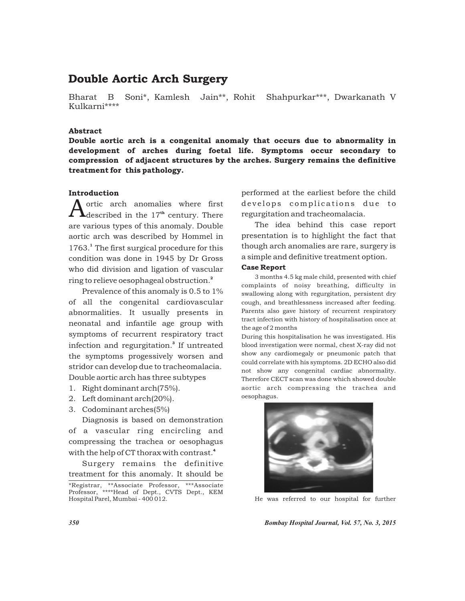# Double Aortic Arch Surgery

Bharat B Soni\*, Kamlesh Jain\*\*, Rohit Shahpurkar\*\*\*, Dwarkanath V Kulkarni\*\*\*\*

## Abstract

Double aortic arch is a congenital anomaly that occurs due to abnormality in development of arches during foetal life. Symptoms occur secondary to compression of adjacent structures by the arches. Surgery remains the definitive treatment for this pathology.

# Introduction

ortic arch anomalies where first  $\text{Ldescribed in the } 17^{\text{th}}$  century. There are various types of this anomaly. Double aortic arch was described by Hommel in 1763.<sup>1</sup> The first surgical procedure for this condition was done in 1945 by Dr Gross who did division and ligation of vascular ring to relieve oesophageal obstruction. $^{\text{{\tiny 2}}}$ 

Prevalence of this anomaly is 0.5 to 1% of all the congenital cardiovascular abnormalities. It usually presents in neonatal and infantile age group with symptoms of recurrent respiratory tract infection and regurgitation.<sup>3</sup> If untreated the symptoms progessively worsen and stridor can develop due to tracheomalacia. Double aortic arch has three subtypes

- 1. Right dominant arch(75%).
- 2. Left dominant arch(20%).
- 3. Codominant arches(5%)

Diagnosis is based on demonstration of a vascular ring encircling and compressing the trachea or oesophagus with the help of CT thorax with contrast.<sup>4</sup>

Surgery remains the definitive treatment for this anomaly. It should be

performed at the earliest before the child develops complications due to regurgitation and tracheomalacia.

The idea behind this case report presentation is to highlight the fact that though arch anomalies are rare, surgery is a simple and definitive treatment option.

### Case Report

3 months 4.5 kg male child, presented with chief complaints of noisy breathing, difficulty in swallowing along with regurgitation, persistent dry cough, and breathlessness increased after feeding. Parents also gave history of recurrent respiratory tract infection with history of hospitalisation once at the age of 2 months

During this hospitalisation he was investigated. His blood investigation were normal, chest X-ray did not show any cardiomegaly or pneumonic patch that could correlate with his symptoms. 2D ECHO also did not show any congenital cardiac abnormality. Therefore CECT scan was done which showed double aortic arch compressing the trachea and oesophagus.



He was referred to our hospital for further

*350 Bombay Hospital Journal, Vol. 57, No. 3, 2015*

<sup>\*</sup>Registrar, \*\*Associate Professor, \*\*\*Associate Professor, \*\*\*\*Head of Dept., CVTS Dept., KEM Hospital Parel, Mumbai - 400 012.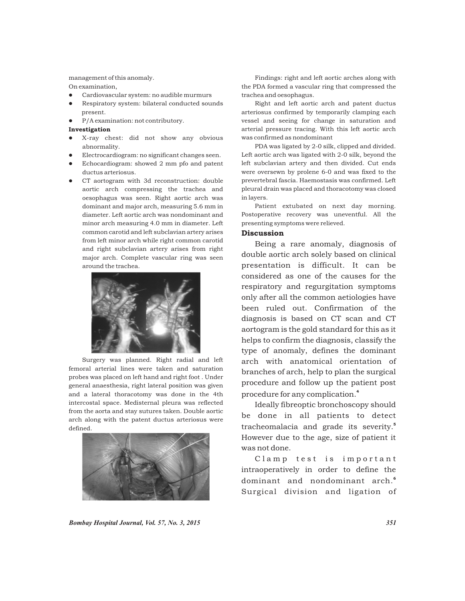management of this anomaly. On examination,

- Cardiovascular system: no audible murmurs
- lCardiovascular system: no audible murmurs Respiratory system: bilateral conducted sounds
- present.<br>• P/A examination: not contributory.

#### Investigation

- lX-ray chest: did not show any obvious abnormality.<br>Electrocardiogram: no significant changes seen.
- lElectrocardiogram: no significant changes seen. Echocardiogram: showed 2 mm pfo and patent
- lductus arteriosus. CT aortogram with 3d reconstruction: double
- aortic arch compressing the trachea and oesophagus was seen. Right aortic arch was dominant and major arch, measuring 5.6 mm in diameter. Left aortic arch was nondominant and minor arch measuring 4.0 mm in diameter. Left common carotid and left subclavian artery arises from left minor arch while right common carotid and right subclavian artery arises from right major arch. Complete vascular ring was seen around the trachea.



Surgery was planned. Right radial and left femoral arterial lines were taken and saturation probes was placed on left hand and right foot . Under general anaesthesia, right lateral position was given and a lateral thoracotomy was done in the 4th intercostal space. Medisternal pleura was reflected from the aorta and stay sutures taken. Double aortic arch along with the patent ductus arteriosus were defined.



Findings: right and left aortic arches along with the PDA formed a vascular ring that compressed the trachea and oesophagus.

Right and left aortic arch and patent ductus arteriosus confirmed by temporarily clamping each vessel and seeing for change in saturation and arterial pressure tracing. With this left aortic arch was confirmed as nondominant

PDA was ligated by 2-0 silk, clipped and divided. Left aortic arch was ligated with 2-0 silk, beyond the left subclavian artery and then divided. Cut ends were oversewn by prolene 6-0 and was fixed to the prevertebral fascia. Haemostasis was confirmed. Left pleural drain was placed and thoracotomy was closed in layers.

Patient extubated on next day morning. Postoperative recovery was uneventful. All the presenting symptoms were relieved.

## **Discussion**

Being a rare anomaly, diagnosis of double aortic arch solely based on clinical presentation is difficult. It can be considered as one of the causes for the respiratory and regurgitation symptoms only after all the common aetiologies have been ruled out. Confirmation of the diagnosis is based on CT scan and CT aortogram is the gold standard for this as it helps to confirm the diagnosis, classify the type of anomaly, defines the dominant arch with anatomical orientation of branches of arch, help to plan the surgical procedure and follow up the patient post 4 procedure for any complication.

Ideally fibreoptic bronchoscopy should be done in all patients to detect tracheomalacia and grade its severity.<sup>5</sup> However due to the age, size of patient it was not done.

Clamp test is important intraoperatively in order to define the dominant and nondominant arch.<sup>6</sup> Surgical division and ligation of

*Bombay Hospital Journal, Vol. 57, No. 3, 2015 351*